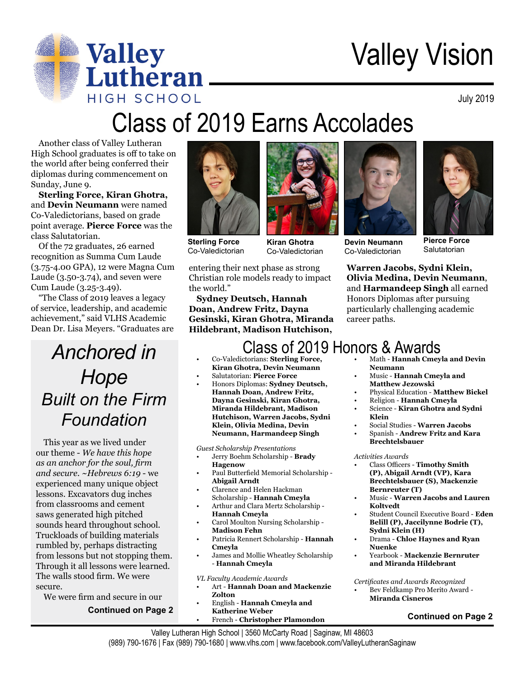

# Valley Vision

July 2019

## Class of 2019 Earns Accolades

Another class of Valley Lutheran High School graduates is off to take on the world after being conferred their diplomas during commencement on Sunday, June 9.

**Sterling Force, Kiran Ghotra,** and **Devin Neumann** were named Co-Valedictorians, based on grade point average. **Pierce Force** was the class Salutatorian.

Of the 72 graduates, 26 earned recognition as Summa Cum Laude (3.75-4.00 GPA), 12 were Magna Cum Laude (3.50-3.74), and seven were Cum Laude (3.25-3.49).

"The Class of 2019 leaves a legacy of service, leadership, and academic achievement," said VLHS Academic Dean Dr. Lisa Meyers. "Graduates are

## *Anchored in Hope Built on the Firm Foundation*

This year as we lived under our theme - *We have this hope as an anchor for the soul, firm and secure. ~Hebrews 6:19* - we experienced many unique object lessons. Excavators dug inches from classrooms and cement saws generated high pitched sounds heard throughout school. Truckloads of building materials rumbled by, perhaps distracting from lessons but not stopping them. Through it all lessons were learned. The walls stood firm. We were secure.

We were firm and secure in our

#### **Continued on Page 2**



**Sterling Force** Co-Valedictorian

**Kiran Ghotra** Co-Valedictorian

entering their next phase as strong Christian role models ready to impact the world."

**Sydney Deutsch, Hannah Doan, Andrew Fritz, Dayna Gesinski, Kiran Ghotra, Miranda Hildebrant, Madison Hutchison,** 



**Devin Neumann** Co-Valedictorian

**Pierce Force Salutatorian** 

**Warren Jacobs, Sydni Klein, Olivia Medina, Devin Neumann**, and **Harmandeep Singh** all earned Honors Diplomas after pursuing particularly challenging academic career paths.

## Class of 2019 Honors & Awards

- Co-Valedictorians: **Sterling Force, Kiran Ghotra, Devin Neumann**
- Salutatorian: **Pierce Force**
- Honors Diplomas: **Sydney Deutsch, Hannah Doan, Andrew Fritz, Dayna Gesinski, Kiran Ghotra, Miranda Hildebrant, Madison Hutchison, Warren Jacobs, Sydni Klein, Olivia Medina, Devin Neumann, Harmandeep Singh**

*Guest Scholarship Presentations*

- Jerry Boehm Scholarship **Brady Hagenow**
- Paul Butterfield Memorial Scholarship **Abigail Arndt**
- Clarence and Helen Hackman Scholarship - **Hannah Cmeyla**
- Arthur and Clara Mertz Scholarship **Hannah Cmeyla**
- Carol Moulton Nursing Scholarship **Madison Fehn**
- Patricia Rennert Scholarship **Hannah Cmeyla**
- James and Mollie Wheatley Scholarship - **Hannah Cmeyla**

*VL Faculty Academic Awards*

- Art **Hannah Doan and Mackenzie Zolton**
- English **Hannah Cmeyla and Katherine Weber**
- French **Christopher Plamondon**
- Math **Hannah Cmeyla and Devin Neumann**
- Music **Hannah Cmeyla and Matthew Jezowski**
- Physical Education **Matthew Bickel**
- Religion **Hannah Cmeyla**
- Science **Kiran Ghotra and Sydni Klein**
- Social Studies **Warren Jacobs**
- Spanish **Andrew Fritz and Kara Brechtelsbauer**

#### *Activities Awards*

- Class Officers **Timothy Smith (P), Abigail Arndt (VP), Kara Brechtelsbauer (S), Mackenzie Bernreuter (T)**
- Music **Warren Jacobs and Lauren Koltvedt**
- Student Council Executive Board **Eden Belill (P), Jaccilynne Bodrie (T), Sydni Klein (H)**
- Drama - **Chloe Haynes and Ryan Nuenke**
- Yearbook **Mackenzie Bernruter and Miranda Hildebrant**

*Certificates and Awards Recognized*

• Bev Feldkamp Pro Merito Award - **Miranda Cisneros**

### **Continued on Page 2**

Valley Lutheran High School | 3560 McCarty Road | Saginaw, MI 48603 (989) 790-1676 | Fax (989) 790-1680 | www.vlhs.com | www.facebook.com/ValleyLutheranSaginaw